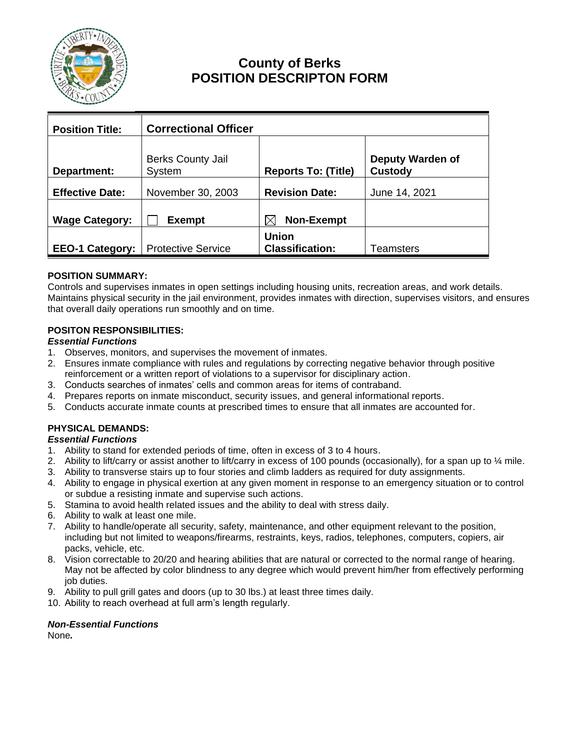

# **County of Berks POSITION DESCRIPTON FORM**

| <b>Position Title:</b> | <b>Correctional Officer</b>        |                                        |                                           |
|------------------------|------------------------------------|----------------------------------------|-------------------------------------------|
| Department:            | <b>Berks County Jail</b><br>System | <b>Reports To: (Title)</b>             | <b>Deputy Warden of</b><br><b>Custody</b> |
| <b>Effective Date:</b> | November 30, 2003                  | <b>Revision Date:</b>                  | June 14, 2021                             |
| <b>Wage Category:</b>  | <b>Exempt</b>                      | <b>Non-Exempt</b>                      |                                           |
| <b>EEO-1 Category:</b> | <b>Protective Service</b>          | <b>Union</b><br><b>Classification:</b> | Teamsters                                 |

# **POSITION SUMMARY:**

Controls and supervises inmates in open settings including housing units, recreation areas, and work details. Maintains physical security in the jail environment, provides inmates with direction, supervises visitors, and ensures that overall daily operations run smoothly and on time.

# **POSITON RESPONSIBILITIES:**

#### *Essential Functions*

- 1. Observes, monitors, and supervises the movement of inmates.
- 2. Ensures inmate compliance with rules and regulations by correcting negative behavior through positive reinforcement or a written report of violations to a supervisor for disciplinary action.
- 3. Conducts searches of inmates' cells and common areas for items of contraband.
- 4. Prepares reports on inmate misconduct, security issues, and general informational reports.
- 5. Conducts accurate inmate counts at prescribed times to ensure that all inmates are accounted for.

# **PHYSICAL DEMANDS:**

# *Essential Functions*

- 1. Ability to stand for extended periods of time, often in excess of 3 to 4 hours.
- 2. Ability to lift/carry or assist another to lift/carry in excess of 100 pounds (occasionally), for a span up to  $\frac{1}{4}$  mile.
- 3. Ability to transverse stairs up to four stories and climb ladders as required for duty assignments.
- 4. Ability to engage in physical exertion at any given moment in response to an emergency situation or to control or subdue a resisting inmate and supervise such actions.
- 5. Stamina to avoid health related issues and the ability to deal with stress daily.
- 6. Ability to walk at least one mile.
- 7. Ability to handle/operate all security, safety, maintenance, and other equipment relevant to the position, including but not limited to weapons/firearms, restraints, keys, radios, telephones, computers, copiers, air packs, vehicle, etc.
- 8. Vision correctable to 20/20 and hearing abilities that are natural or corrected to the normal range of hearing. May not be affected by color blindness to any degree which would prevent him/her from effectively performing job duties.
- 9. Ability to pull grill gates and doors (up to 30 lbs.) at least three times daily.
- 10. Ability to reach overhead at full arm's length regularly.

#### *Non-Essential Functions*

None*.*